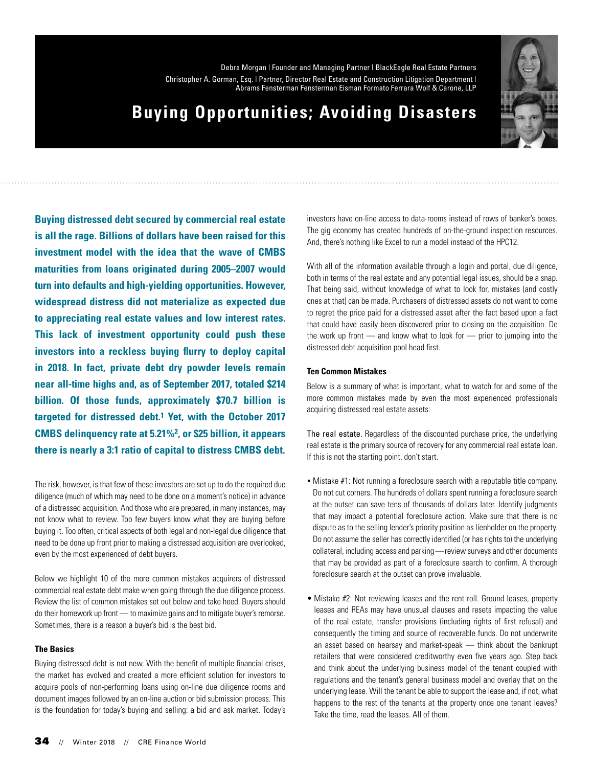Debra Morgan | Founder and Managing Partner | BlackEagle Real Estate Partners Christopher A. Gorman, Esq. | Partner, Director Real Estate and Construction Litigation Department | Abrams Fensterman Fensterman Eisman Formato Ferrara Wolf & Carone, LLP



## **Buying Opportunities; Avoiding Disasters**

**Buying distressed debt secured by commercial real estate is all the rage. Billions of dollars have been raised for this investment model with the idea that the wave of CMBS maturities from loans originated during 2005–2007 would turn into defaults and high-yielding opportunities. However, widespread distress did not materialize as expected due to appreciating real estate values and low interest rates. This lack of investment opportunity could push these investors into a reckless buying flurry to deploy capital in 2018. In fact, private debt dry powder levels remain near all-time highs and, as of September 2017, totaled \$214 billion. Of those funds, approximately \$70.7 billion is targeted for distressed debt.1 Yet, with the October 2017 CMBS delinquency rate at 5.21%2, or \$25 billion, it appears there is nearly a 3:1 ratio of capital to distress CMBS debt.**

The risk, however, is that few of these investors are set up to do the required due diligence (much of which may need to be done on a moment's notice) in advance of a distressed acquisition. And those who are prepared, in many instances, may not know what to review. Too few buyers know what they are buying before buying it. Too often, critical aspects of both legal and non-legal due diligence that need to be done up front prior to making a distressed acquisition are overlooked, even by the most experienced of debt buyers.

Below we highlight 10 of the more common mistakes acquirers of distressed commercial real estate debt make when going through the due diligence process. Review the list of common mistakes set out below and take heed. Buyers should do their homework up front — to maximize gains and to mitigate buyer's remorse. Sometimes, there is a reason a buyer's bid is the best bid.

#### **The Basics**

Buying distressed debt is not new. With the benefit of multiple financial crises, the market has evolved and created a more efficient solution for investors to acquire pools of non-performing loans using on-line due diligence rooms and document images followed by an on-line auction or bid submission process. This is the foundation for today's buying and selling: a bid and ask market. Today's

investors have on-line access to data-rooms instead of rows of banker's boxes. The gig economy has created hundreds of on-the-ground inspection resources. And, there's nothing like Excel to run a model instead of the HPC12.

With all of the information available through a login and portal, due diligence, both in terms of the real estate and any potential legal issues, should be a snap. That being said, without knowledge of what to look for, mistakes (and costly ones at that) can be made. Purchasers of distressed assets do not want to come to regret the price paid for a distressed asset after the fact based upon a fact that could have easily been discovered prior to closing on the acquisition. Do the work up front — and know what to look for — prior to jumping into the distressed debt acquisition pool head first.

#### **Ten Common Mistakes**

Below is a summary of what is important, what to watch for and some of the more common mistakes made by even the most experienced professionals acquiring distressed real estate assets:

The real estate. Regardless of the discounted purchase price, the underlying real estate is the primary source of recovery for any commercial real estate loan. If this is not the starting point, don't start.

- Mistake #1: Not running a foreclosure search with a reputable title company. Do not cut corners. The hundreds of dollars spent running a foreclosure search at the outset can save tens of thousands of dollars later. Identify judgments that may impact a potential foreclosure action. Make sure that there is no dispute as to the selling lender's priority position as lienholder on the property. Do not assume the seller has correctly identified (or has rights to) the underlying collateral, including access and parking — review surveys and other documents that may be provided as part of a foreclosure search to confirm. A thorough foreclosure search at the outset can prove invaluable.
- Mistake #2: Not reviewing leases and the rent roll. Ground leases, property leases and REAs may have unusual clauses and resets impacting the value of the real estate, transfer provisions (including rights of first refusal) and consequently the timing and source of recoverable funds. Do not underwrite an asset based on hearsay and market-speak — think about the bankrupt retailers that were considered creditworthy even five years ago. Step back and think about the underlying business model of the tenant coupled with regulations and the tenant's general business model and overlay that on the underlying lease. Will the tenant be able to support the lease and, if not, what happens to the rest of the tenants at the property once one tenant leaves? Take the time, read the leases. All of them.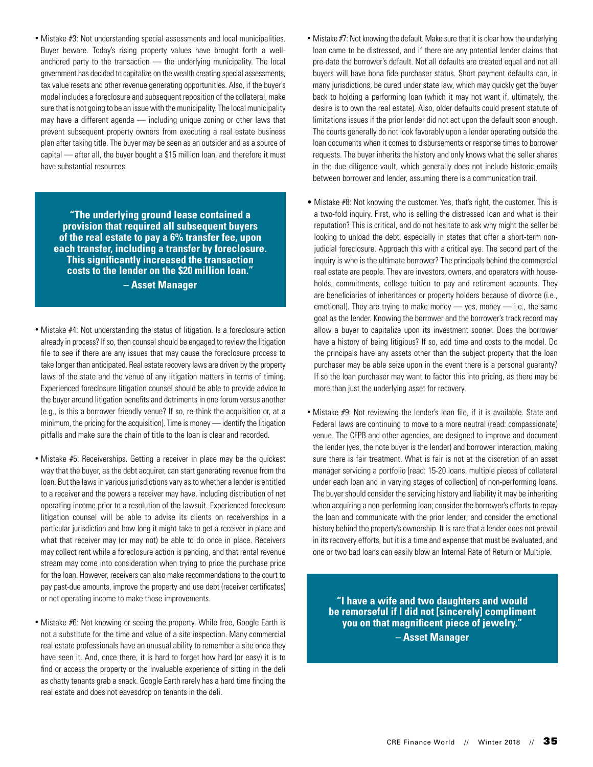• Mistake #3: Not understanding special assessments and local municipalities. Buyer beware. Today's rising property values have brought forth a wellanchored party to the transaction — the underlying municipality. The local government has decided to capitalize on the wealth creating special assessments, tax value resets and other revenue generating opportunities. Also, if the buyer's model includes a foreclosure and subsequent reposition of the collateral, make sure that is not going to be an issue with the municipality. The local municipality may have a different agenda — including unique zoning or other laws that prevent subsequent property owners from executing a real estate business plan after taking title. The buyer may be seen as an outsider and as a source of capital — after all, the buyer bought a \$15 million loan, and therefore it must have substantial resources.

**"The underlying ground lease contained a provision that required all subsequent buyers of the real estate to pay a 6% transfer fee, upon each transfer, including a transfer by foreclosure. This significantly increased the transaction costs to the lender on the \$20 million loan." – Asset Manager**

- Mistake #4: Not understanding the status of litigation. Is a foreclosure action already in process? If so, then counsel should be engaged to review the litigation file to see if there are any issues that may cause the foreclosure process to take longer than anticipated. Real estate recovery laws are driven by the property laws of the state and the venue of any litigation matters in terms of timing. Experienced foreclosure litigation counsel should be able to provide advice to the buyer around litigation benefits and detriments in one forum versus another (e.g., is this a borrower friendly venue? If so, re-think the acquisition or, at a minimum, the pricing for the acquisition). Time is money — identify the litigation pitfalls and make sure the chain of title to the loan is clear and recorded.
- Mistake #5: Receiverships. Getting a receiver in place may be the quickest way that the buyer, as the debt acquirer, can start generating revenue from the loan. But the laws in various jurisdictions vary as to whether a lender is entitled to a receiver and the powers a receiver may have, including distribution of net operating income prior to a resolution of the lawsuit. Experienced foreclosure litigation counsel will be able to advise its clients on receiverships in a particular jurisdiction and how long it might take to get a receiver in place and what that receiver may (or may not) be able to do once in place. Receivers may collect rent while a foreclosure action is pending, and that rental revenue stream may come into consideration when trying to price the purchase price for the loan. However, receivers can also make recommendations to the court to pay past-due amounts, improve the property and use debt (receiver certificates) or net operating income to make those improvements.
- Mistake #6: Not knowing or seeing the property. While free, Google Earth is not a substitute for the time and value of a site inspection. Many commercial real estate professionals have an unusual ability to remember a site once they have seen it. And, once there, it is hard to forget how hard (or easy) it is to find or access the property or the invaluable experience of sitting in the deli as chatty tenants grab a snack. Google Earth rarely has a hard time finding the real estate and does not eavesdrop on tenants in the deli.
- Mistake #7: Not knowing the default. Make sure that it is clear how the underlying loan came to be distressed, and if there are any potential lender claims that pre-date the borrower's default. Not all defaults are created equal and not all buyers will have bona fide purchaser status. Short payment defaults can, in many jurisdictions, be cured under state law, which may quickly get the buyer back to holding a performing loan (which it may not want if, ultimately, the desire is to own the real estate). Also, older defaults could present statute of limitations issues if the prior lender did not act upon the default soon enough. The courts generally do not look favorably upon a lender operating outside the loan documents when it comes to disbursements or response times to borrower requests. The buyer inherits the history and only knows what the seller shares in the due diligence vault, which generally does not include historic emails between borrower and lender, assuming there is a communication trail.
- Mistake #8: Not knowing the customer. Yes, that's right, the customer. This is a two-fold inquiry. First, who is selling the distressed loan and what is their reputation? This is critical, and do not hesitate to ask why might the seller be looking to unload the debt, especially in states that offer a short-term nonjudicial foreclosure. Approach this with a critical eye. The second part of the inquiry is who is the ultimate borrower? The principals behind the commercial real estate are people. They are investors, owners, and operators with households, commitments, college tuition to pay and retirement accounts. They are beneficiaries of inheritances or property holders because of divorce (i.e., emotional). They are trying to make money  $-$  yes, money  $-$  i.e., the same goal as the lender. Knowing the borrower and the borrower's track record may allow a buyer to capitalize upon its investment sooner. Does the borrower have a history of being litigious? If so, add time and costs to the model. Do the principals have any assets other than the subject property that the loan purchaser may be able seize upon in the event there is a personal guaranty? If so the loan purchaser may want to factor this into pricing, as there may be more than just the underlying asset for recovery.
- Mistake #9: Not reviewing the lender's loan file, if it is available. State and Federal laws are continuing to move to a more neutral (read: compassionate) venue. The CFPB and other agencies, are designed to improve and document the lender (yes, the note buyer is the lender) and borrower interaction, making sure there is fair treatment. What is fair is not at the discretion of an asset manager servicing a portfolio [read: 15-20 loans, multiple pieces of collateral under each loan and in varying stages of collection] of non-performing loans. The buyer should consider the servicing history and liability it may be inheriting when acquiring a non-performing loan; consider the borrower's efforts to repay the loan and communicate with the prior lender; and consider the emotional history behind the property's ownership. It is rare that a lender does not prevail in its recovery efforts, but it is a time and expense that must be evaluated, and one or two bad loans can easily blow an Internal Rate of Return or Multiple.

**"I have a wife and two daughters and would be remorseful if I did not [sincerely] compliment you on that magnificent piece of jewelry." – Asset Manager**